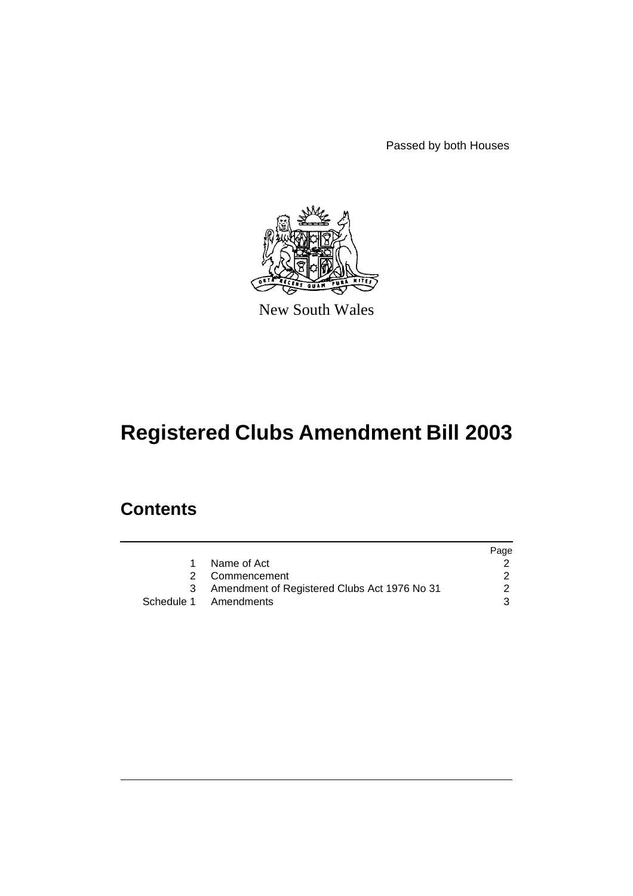Passed by both Houses



New South Wales

# **Registered Clubs Amendment Bill 2003**

# **Contents**

|   |                                                | Page          |
|---|------------------------------------------------|---------------|
| 1 | Name of Act                                    |               |
|   | 2 Commencement                                 |               |
|   | 3 Amendment of Registered Clubs Act 1976 No 31 | $\mathcal{P}$ |
|   | Schedule 1 Amendments                          | 3             |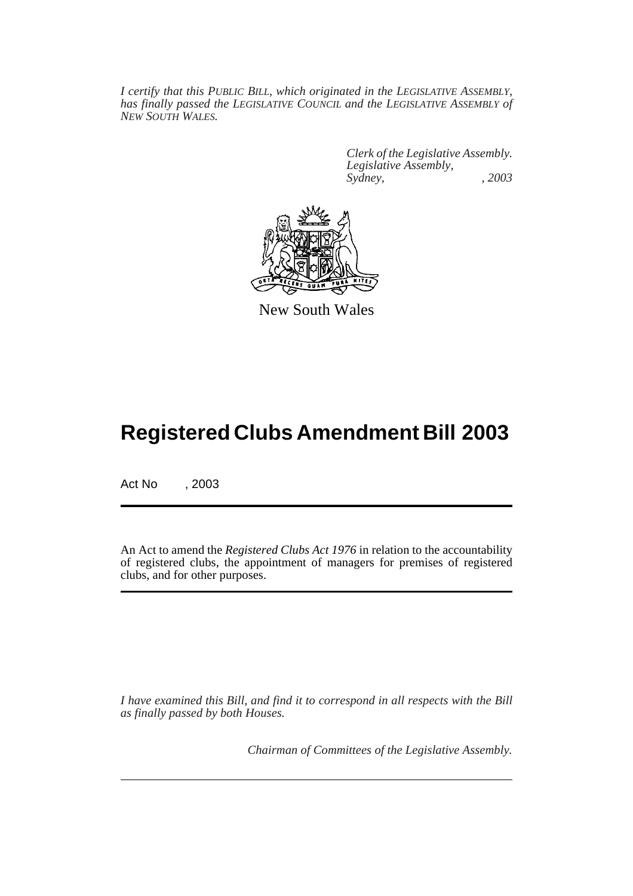*I certify that this PUBLIC BILL, which originated in the LEGISLATIVE ASSEMBLY, has finally passed the LEGISLATIVE COUNCIL and the LEGISLATIVE ASSEMBLY of NEW SOUTH WALES.*

> *Clerk of the Legislative Assembly. Legislative Assembly, Sydney, , 2003*



New South Wales

# **Registered Clubs Amendment Bill 2003**

Act No , 2003

An Act to amend the *Registered Clubs Act 1976* in relation to the accountability of registered clubs, the appointment of managers for premises of registered clubs, and for other purposes.

*I have examined this Bill, and find it to correspond in all respects with the Bill as finally passed by both Houses.*

*Chairman of Committees of the Legislative Assembly.*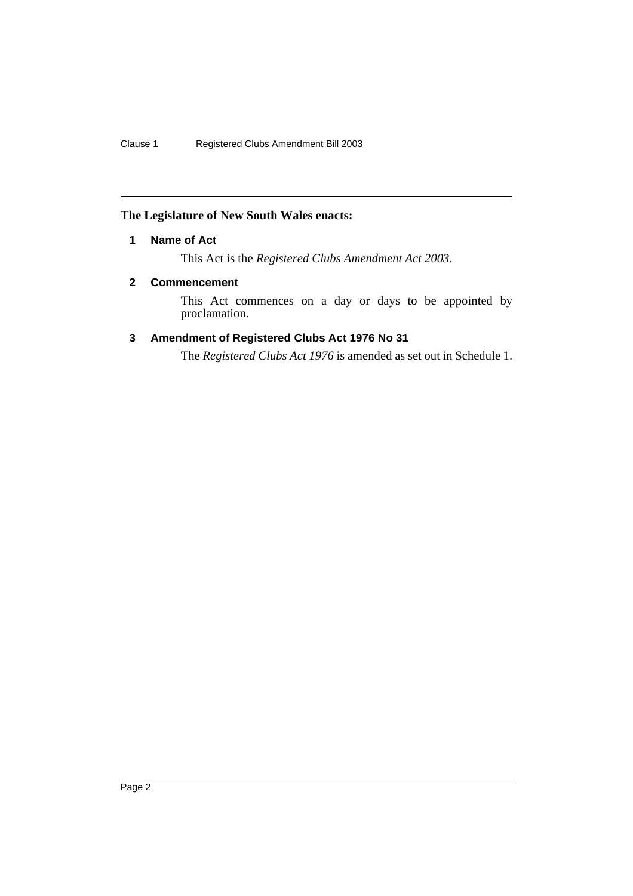# **The Legislature of New South Wales enacts:**

# **1 Name of Act**

This Act is the *Registered Clubs Amendment Act 2003*.

## **2 Commencement**

This Act commences on a day or days to be appointed by proclamation.

# **3 Amendment of Registered Clubs Act 1976 No 31**

The *Registered Clubs Act 1976* is amended as set out in Schedule 1.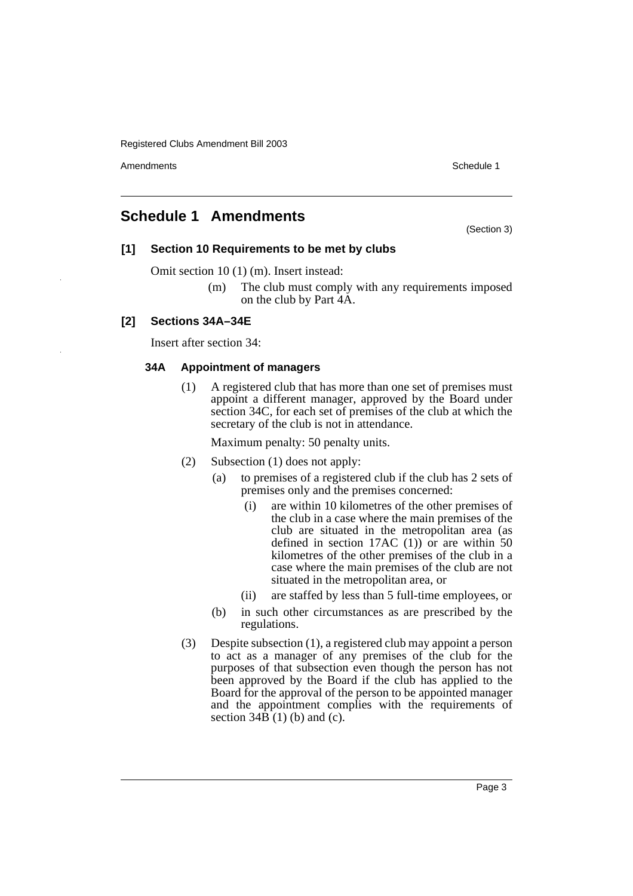Amendments **Amendments** Schedule 1

# **Schedule 1 Amendments**

(Section 3)

## **[1] Section 10 Requirements to be met by clubs**

Omit section 10 (1) (m). Insert instead:

(m) The club must comply with any requirements imposed on the club by Part 4A.

# **[2] Sections 34A–34E**

Insert after section 34:

## **34A Appointment of managers**

(1) A registered club that has more than one set of premises must appoint a different manager, approved by the Board under section 34C, for each set of premises of the club at which the secretary of the club is not in attendance.

- (2) Subsection (1) does not apply:
	- (a) to premises of a registered club if the club has 2 sets of premises only and the premises concerned:
		- (i) are within 10 kilometres of the other premises of the club in a case where the main premises of the club are situated in the metropolitan area (as defined in section 17AC  $(1)$  or are within 50 kilometres of the other premises of the club in a case where the main premises of the club are not situated in the metropolitan area, or
		- (ii) are staffed by less than 5 full-time employees, or
	- (b) in such other circumstances as are prescribed by the regulations.
- (3) Despite subsection (1), a registered club may appoint a person to act as a manager of any premises of the club for the purposes of that subsection even though the person has not been approved by the Board if the club has applied to the Board for the approval of the person to be appointed manager and the appointment complies with the requirements of section  $34\hat{B}(1)$  (b) and (c).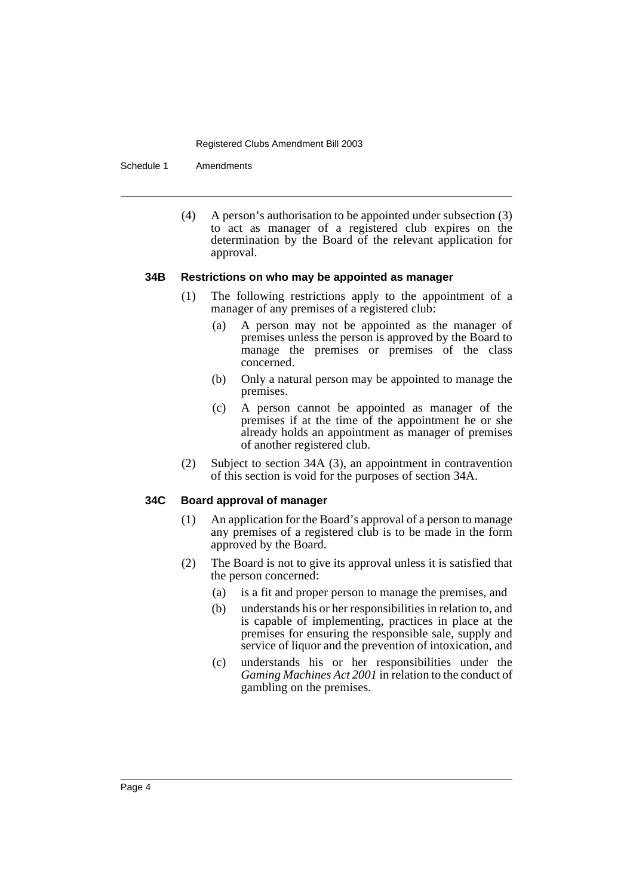Schedule 1 Amendments

(4) A person's authorisation to be appointed under subsection (3) to act as manager of a registered club expires on the determination by the Board of the relevant application for approval.

#### **34B Restrictions on who may be appointed as manager**

- (1) The following restrictions apply to the appointment of a manager of any premises of a registered club:
	- (a) A person may not be appointed as the manager of premises unless the person is approved by the Board to manage the premises or premises of the class concerned.
	- (b) Only a natural person may be appointed to manage the premises.
	- (c) A person cannot be appointed as manager of the premises if at the time of the appointment he or she already holds an appointment as manager of premises of another registered club.
- (2) Subject to section 34A (3), an appointment in contravention of this section is void for the purposes of section 34A.

## **34C Board approval of manager**

- (1) An application for the Board's approval of a person to manage any premises of a registered club is to be made in the form approved by the Board.
- (2) The Board is not to give its approval unless it is satisfied that the person concerned:
	- (a) is a fit and proper person to manage the premises, and
	- (b) understands his or her responsibilities in relation to, and is capable of implementing, practices in place at the premises for ensuring the responsible sale, supply and service of liquor and the prevention of intoxication, and
	- (c) understands his or her responsibilities under the *Gaming Machines Act 2001* in relation to the conduct of gambling on the premises.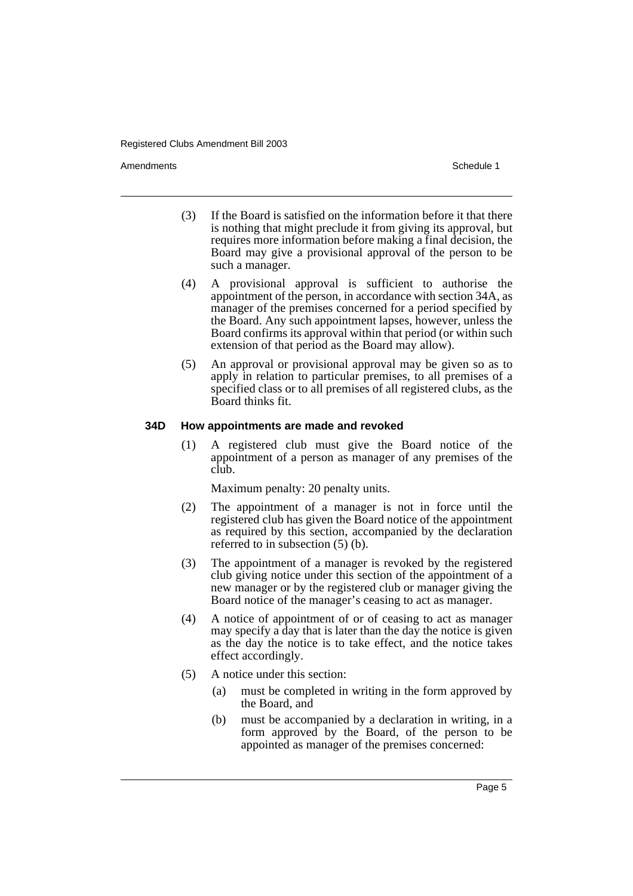Amendments **Amendments** Schedule 1

- (3) If the Board is satisfied on the information before it that there is nothing that might preclude it from giving its approval, but requires more information before making a final decision, the Board may give a provisional approval of the person to be such a manager.
- (4) A provisional approval is sufficient to authorise the appointment of the person, in accordance with section 34A, as manager of the premises concerned for a period specified by the Board. Any such appointment lapses, however, unless the Board confirms its approval within that period (or within such extension of that period as the Board may allow).
- (5) An approval or provisional approval may be given so as to apply in relation to particular premises, to all premises of a specified class or to all premises of all registered clubs, as the Board thinks fit.

#### **34D How appointments are made and revoked**

(1) A registered club must give the Board notice of the appointment of a person as manager of any premises of the club.

- (2) The appointment of a manager is not in force until the registered club has given the Board notice of the appointment as required by this section, accompanied by the declaration referred to in subsection (5) (b).
- (3) The appointment of a manager is revoked by the registered club giving notice under this section of the appointment of a new manager or by the registered club or manager giving the Board notice of the manager's ceasing to act as manager.
- (4) A notice of appointment of or of ceasing to act as manager may specify a day that is later than the day the notice is given as the day the notice is to take effect, and the notice takes effect accordingly.
- (5) A notice under this section:
	- (a) must be completed in writing in the form approved by the Board, and
	- (b) must be accompanied by a declaration in writing, in a form approved by the Board, of the person to be appointed as manager of the premises concerned: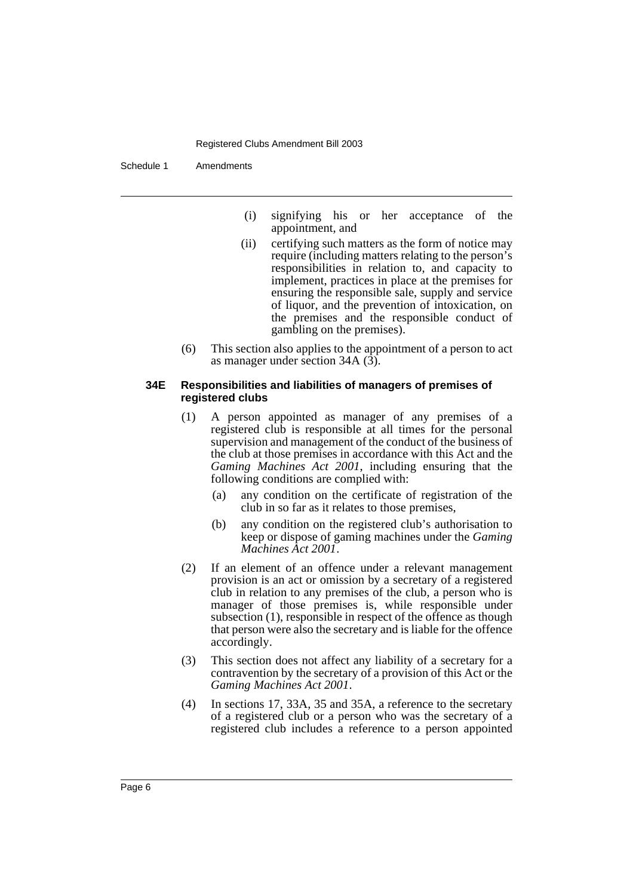Schedule 1 Amendments

- (i) signifying his or her acceptance of the appointment, and
- (ii) certifying such matters as the form of notice may require (including matters relating to the person's responsibilities in relation to, and capacity to implement, practices in place at the premises for ensuring the responsible sale, supply and service of liquor, and the prevention of intoxication, on the premises and the responsible conduct of gambling on the premises).
- (6) This section also applies to the appointment of a person to act as manager under section 34A (3).

#### **34E Responsibilities and liabilities of managers of premises of registered clubs**

- (1) A person appointed as manager of any premises of a registered club is responsible at all times for the personal supervision and management of the conduct of the business of the club at those premises in accordance with this Act and the *Gaming Machines Act 2001*, including ensuring that the following conditions are complied with:
	- (a) any condition on the certificate of registration of the club in so far as it relates to those premises,
	- (b) any condition on the registered club's authorisation to keep or dispose of gaming machines under the *Gaming Machines Act 2001*.
- (2) If an element of an offence under a relevant management provision is an act or omission by a secretary of a registered club in relation to any premises of the club, a person who is manager of those premises is, while responsible under subsection (1), responsible in respect of the offence as though that person were also the secretary and is liable for the offence accordingly.
- (3) This section does not affect any liability of a secretary for a contravention by the secretary of a provision of this Act or the *Gaming Machines Act 2001*.
- (4) In sections 17, 33A, 35 and 35A, a reference to the secretary of a registered club or a person who was the secretary of a registered club includes a reference to a person appointed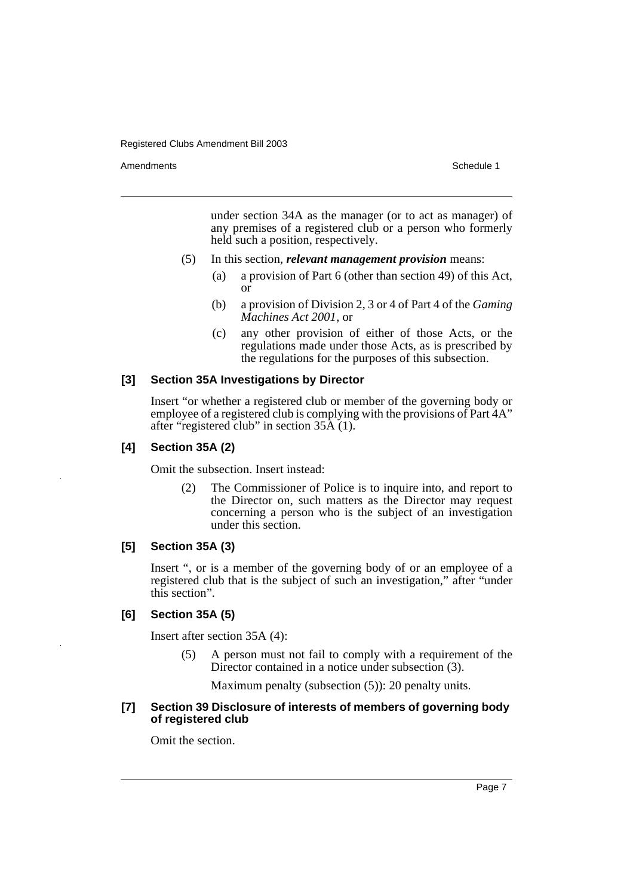Amendments **Amendments** Schedule 1

under section 34A as the manager (or to act as manager) of any premises of a registered club or a person who formerly held such a position, respectively.

- (5) In this section, *relevant management provision* means:
	- (a) a provision of Part 6 (other than section 49) of this Act, or
	- (b) a provision of Division 2, 3 or 4 of Part 4 of the *Gaming Machines Act 2001*, or
	- (c) any other provision of either of those Acts, or the regulations made under those Acts, as is prescribed by the regulations for the purposes of this subsection.

#### **[3] Section 35A Investigations by Director**

Insert "or whether a registered club or member of the governing body or employee of a registered club is complying with the provisions of Part 4A" after "registered club" in section 35A (1).

## **[4] Section 35A (2)**

Omit the subsection. Insert instead:

(2) The Commissioner of Police is to inquire into, and report to the Director on, such matters as the Director may request concerning a person who is the subject of an investigation under this section.

## **[5] Section 35A (3)**

Insert ", or is a member of the governing body of or an employee of a registered club that is the subject of such an investigation," after "under this section".

#### **[6] Section 35A (5)**

Insert after section 35A (4):

(5) A person must not fail to comply with a requirement of the Director contained in a notice under subsection (3).

Maximum penalty (subsection (5)): 20 penalty units.

#### **[7] Section 39 Disclosure of interests of members of governing body of registered club**

Omit the section.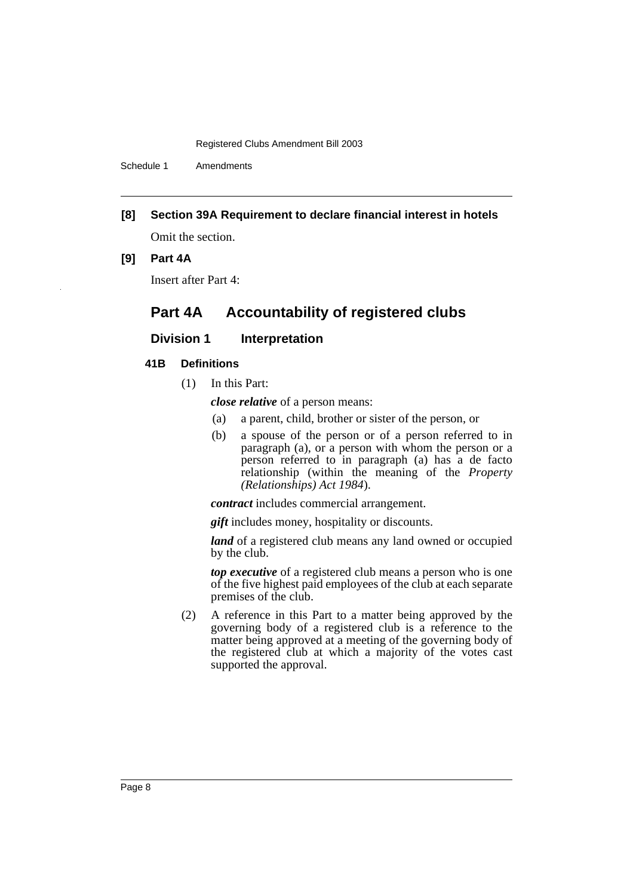Schedule 1 Amendments

**[8] Section 39A Requirement to declare financial interest in hotels**

Omit the section.

#### **[9] Part 4A**

Insert after Part 4:

# **Part 4A Accountability of registered clubs**

## **Division 1** Interpretation

## **41B Definitions**

(1) In this Part:

*close relative* of a person means:

- (a) a parent, child, brother or sister of the person, or
- (b) a spouse of the person or of a person referred to in paragraph (a), or a person with whom the person or a person referred to in paragraph (a) has a de facto relationship (within the meaning of the *Property (Relationships) Act 1984*).

*contract* includes commercial arrangement.

*gift* includes money, hospitality or discounts.

*land* of a registered club means any land owned or occupied by the club.

*top executive* of a registered club means a person who is one of the five highest paid employees of the club at each separate premises of the club.

(2) A reference in this Part to a matter being approved by the governing body of a registered club is a reference to the matter being approved at a meeting of the governing body of the registered club at which a majority of the votes cast supported the approval.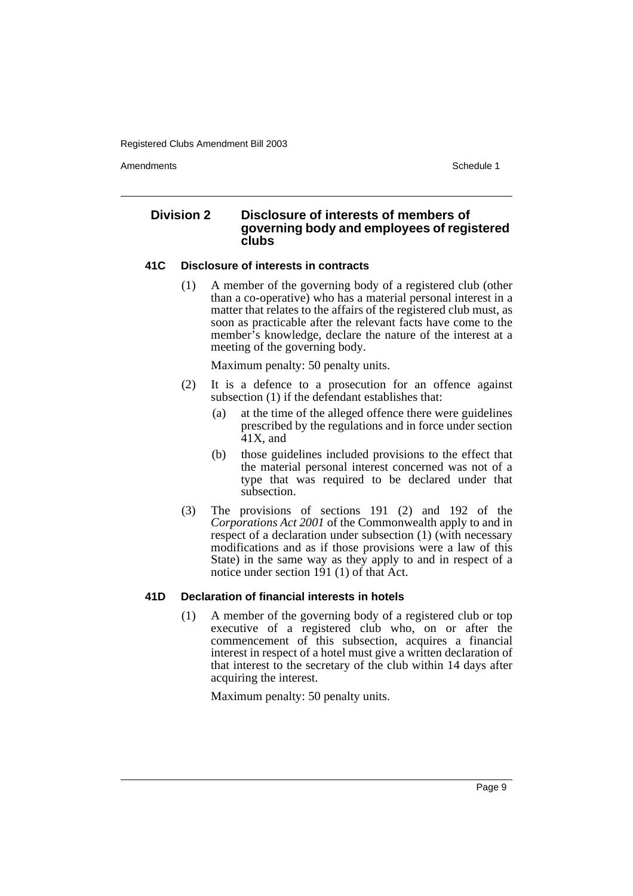Amendments **Amendments** Schedule 1

## **Division 2 Disclosure of interests of members of governing body and employees of registered clubs**

#### **41C Disclosure of interests in contracts**

(1) A member of the governing body of a registered club (other than a co-operative) who has a material personal interest in a matter that relates to the affairs of the registered club must, as soon as practicable after the relevant facts have come to the member's knowledge, declare the nature of the interest at a meeting of the governing body.

Maximum penalty: 50 penalty units.

- (2) It is a defence to a prosecution for an offence against subsection (1) if the defendant establishes that:
	- (a) at the time of the alleged offence there were guidelines prescribed by the regulations and in force under section  $41X$ , and
	- (b) those guidelines included provisions to the effect that the material personal interest concerned was not of a type that was required to be declared under that subsection.
- (3) The provisions of sections 191 (2) and 192 of the *Corporations Act 2001* of the Commonwealth apply to and in respect of a declaration under subsection (1) (with necessary modifications and as if those provisions were a law of this State) in the same way as they apply to and in respect of a notice under section 191 (1) of that Act.

## **41D Declaration of financial interests in hotels**

(1) A member of the governing body of a registered club or top executive of a registered club who, on or after the commencement of this subsection, acquires a financial interest in respect of a hotel must give a written declaration of that interest to the secretary of the club within 14 days after acquiring the interest.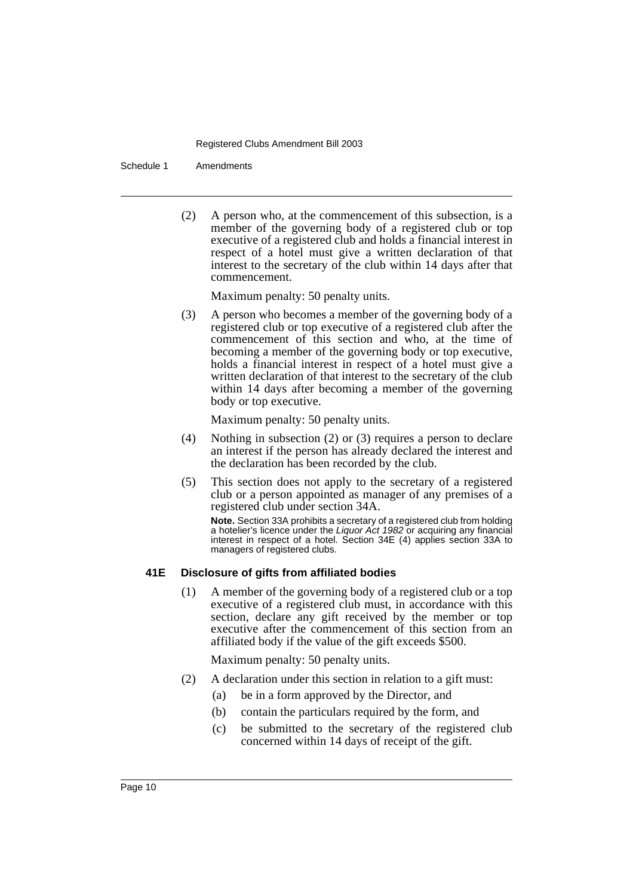Schedule 1 Amendments

(2) A person who, at the commencement of this subsection, is a member of the governing body of a registered club or top executive of a registered club and holds a financial interest in respect of a hotel must give a written declaration of that interest to the secretary of the club within 14 days after that commencement.

Maximum penalty: 50 penalty units.

(3) A person who becomes a member of the governing body of a registered club or top executive of a registered club after the commencement of this section and who, at the time of becoming a member of the governing body or top executive, holds a financial interest in respect of a hotel must give a written declaration of that interest to the secretary of the club within 14 days after becoming a member of the governing body or top executive.

Maximum penalty: 50 penalty units.

- (4) Nothing in subsection (2) or (3) requires a person to declare an interest if the person has already declared the interest and the declaration has been recorded by the club.
- (5) This section does not apply to the secretary of a registered club or a person appointed as manager of any premises of a registered club under section 34A.

**Note.** Section 33A prohibits a secretary of a registered club from holding a hotelier's licence under the Liquor Act 1982 or acquiring any financial interest in respect of a hotel. Section 34E (4) applies section 33A to managers of registered clubs.

## **41E Disclosure of gifts from affiliated bodies**

(1) A member of the governing body of a registered club or a top executive of a registered club must, in accordance with this section, declare any gift received by the member or top executive after the commencement of this section from an affiliated body if the value of the gift exceeds \$500.

- (2) A declaration under this section in relation to a gift must:
	- (a) be in a form approved by the Director, and
	- (b) contain the particulars required by the form, and
	- (c) be submitted to the secretary of the registered club concerned within 14 days of receipt of the gift.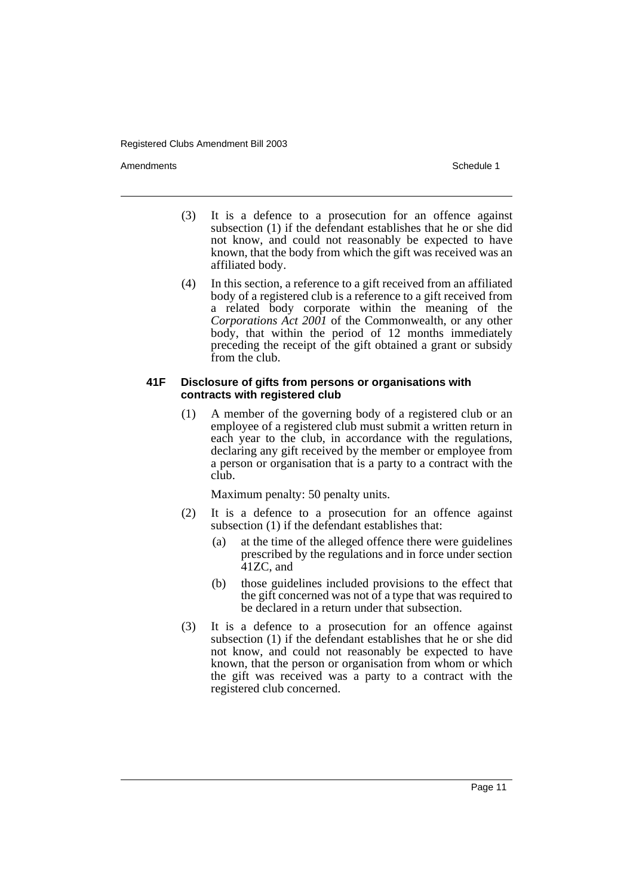Amendments **Amendments** Schedule 1

- (3) It is a defence to a prosecution for an offence against subsection (1) if the defendant establishes that he or she did not know, and could not reasonably be expected to have known, that the body from which the gift was received was an affiliated body.
- (4) In this section, a reference to a gift received from an affiliated body of a registered club is a reference to a gift received from a related body corporate within the meaning of the *Corporations Act 2001* of the Commonwealth, or any other body, that within the period of 12 months immediately preceding the receipt of the gift obtained a grant or subsidy from the club.

#### **41F Disclosure of gifts from persons or organisations with contracts with registered club**

(1) A member of the governing body of a registered club or an employee of a registered club must submit a written return in each year to the club, in accordance with the regulations, declaring any gift received by the member or employee from a person or organisation that is a party to a contract with the club.

- (2) It is a defence to a prosecution for an offence against subsection (1) if the defendant establishes that:
	- (a) at the time of the alleged offence there were guidelines prescribed by the regulations and in force under section 41ZC, and
	- (b) those guidelines included provisions to the effect that the gift concerned was not of a type that was required to be declared in a return under that subsection.
- (3) It is a defence to a prosecution for an offence against subsection (1) if the defendant establishes that he or she did not know, and could not reasonably be expected to have known, that the person or organisation from whom or which the gift was received was a party to a contract with the registered club concerned.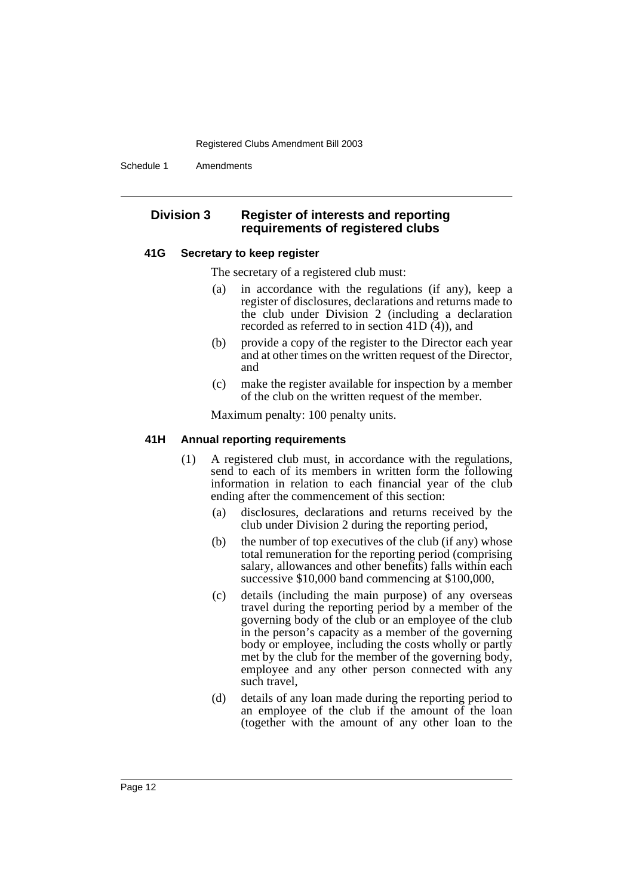Schedule 1 Amendments

## **Division 3 Register of interests and reporting requirements of registered clubs**

#### **41G Secretary to keep register**

The secretary of a registered club must:

- (a) in accordance with the regulations (if any), keep a register of disclosures, declarations and returns made to the club under Division 2 (including a declaration recorded as referred to in section 41D (4)), and
- (b) provide a copy of the register to the Director each year and at other times on the written request of the Director, and
- (c) make the register available for inspection by a member of the club on the written request of the member.

Maximum penalty: 100 penalty units.

## **41H Annual reporting requirements**

- (1) A registered club must, in accordance with the regulations, send to each of its members in written form the following information in relation to each financial year of the club ending after the commencement of this section:
	- (a) disclosures, declarations and returns received by the club under Division 2 during the reporting period,
	- (b) the number of top executives of the club (if any) whose total remuneration for the reporting period (comprising salary, allowances and other benefits) falls within each successive \$10,000 band commencing at \$100,000,
	- (c) details (including the main purpose) of any overseas travel during the reporting period by a member of the governing body of the club or an employee of the club in the person's capacity as a member of the governing body or employee, including the costs wholly or partly met by the club for the member of the governing body, employee and any other person connected with any such travel,
	- (d) details of any loan made during the reporting period to an employee of the club if the amount of the loan (together with the amount of any other loan to the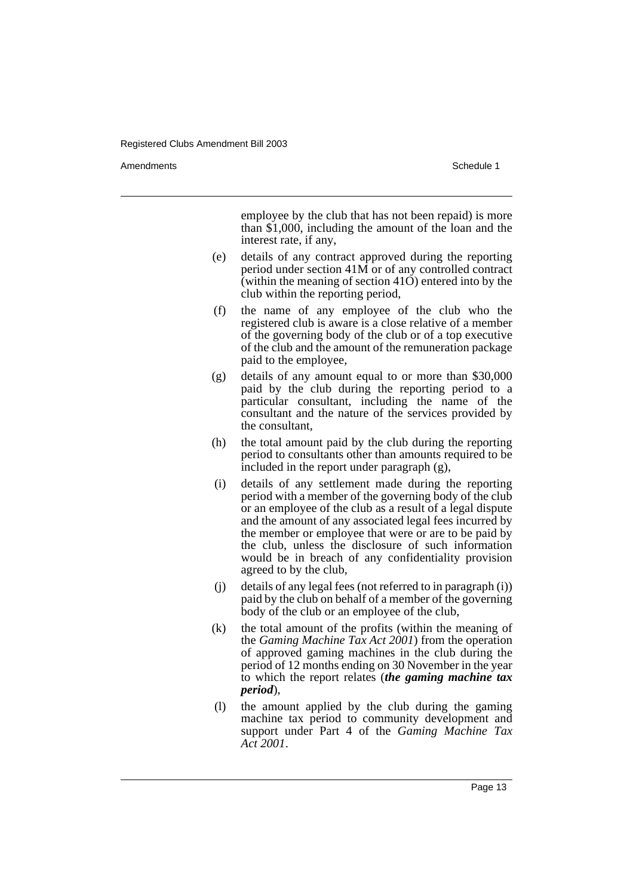Amendments **Amendments** Schedule 1

employee by the club that has not been repaid) is more than \$1,000, including the amount of the loan and the interest rate, if any,

- (e) details of any contract approved during the reporting period under section 41M or of any controlled contract (within the meaning of section  $41\ddot{\mathrm{O}}$ ) entered into by the club within the reporting period,
- (f) the name of any employee of the club who the registered club is aware is a close relative of a member of the governing body of the club or of a top executive of the club and the amount of the remuneration package paid to the employee,
- (g) details of any amount equal to or more than \$30,000 paid by the club during the reporting period to a particular consultant, including the name of the consultant and the nature of the services provided by the consultant,
- (h) the total amount paid by the club during the reporting period to consultants other than amounts required to be included in the report under paragraph (g),
- (i) details of any settlement made during the reporting period with a member of the governing body of the club or an employee of the club as a result of a legal dispute and the amount of any associated legal fees incurred by the member or employee that were or are to be paid by the club, unless the disclosure of such information would be in breach of any confidentiality provision agreed to by the club,
- (j) details of any legal fees (not referred to in paragraph (i)) paid by the club on behalf of a member of the governing body of the club or an employee of the club,
- (k) the total amount of the profits (within the meaning of the *Gaming Machine Tax Act 2001*) from the operation of approved gaming machines in the club during the period of 12 months ending on 30 November in the year to which the report relates (*the gaming machine tax period*),
- (l) the amount applied by the club during the gaming machine tax period to community development and support under Part 4 of the *Gaming Machine Tax Act 2001*.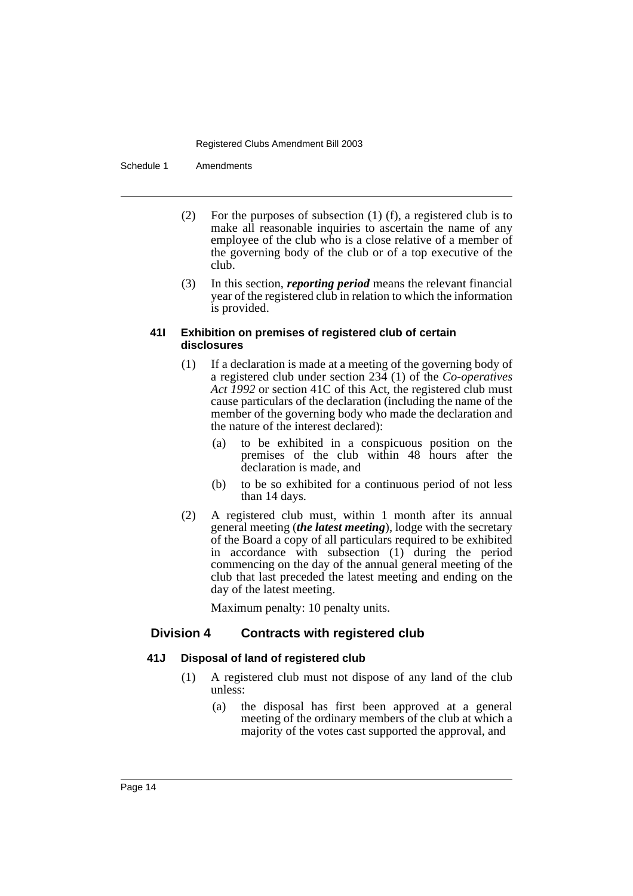Schedule 1 Amendments

- (2) For the purposes of subsection (1) (f), a registered club is to make all reasonable inquiries to ascertain the name of any employee of the club who is a close relative of a member of the governing body of the club or of a top executive of the club.
- (3) In this section, *reporting period* means the relevant financial year of the registered club in relation to which the information is provided.

#### **41I Exhibition on premises of registered club of certain disclosures**

- (1) If a declaration is made at a meeting of the governing body of a registered club under section 234 (1) of the *Co-operatives Act 1992* or section 41C of this Act, the registered club must cause particulars of the declaration (including the name of the member of the governing body who made the declaration and the nature of the interest declared):
	- (a) to be exhibited in a conspicuous position on the premises of the club within 48 hours after the declaration is made, and
	- (b) to be so exhibited for a continuous period of not less than 14 days.
- (2) A registered club must, within 1 month after its annual general meeting (*the latest meeting*), lodge with the secretary of the Board a copy of all particulars required to be exhibited in accordance with subsection (1) during the period commencing on the day of the annual general meeting of the club that last preceded the latest meeting and ending on the day of the latest meeting.

Maximum penalty: 10 penalty units.

# **Division 4 Contracts with registered club**

## **41J Disposal of land of registered club**

- (1) A registered club must not dispose of any land of the club unless:
	- (a) the disposal has first been approved at a general meeting of the ordinary members of the club at which a majority of the votes cast supported the approval, and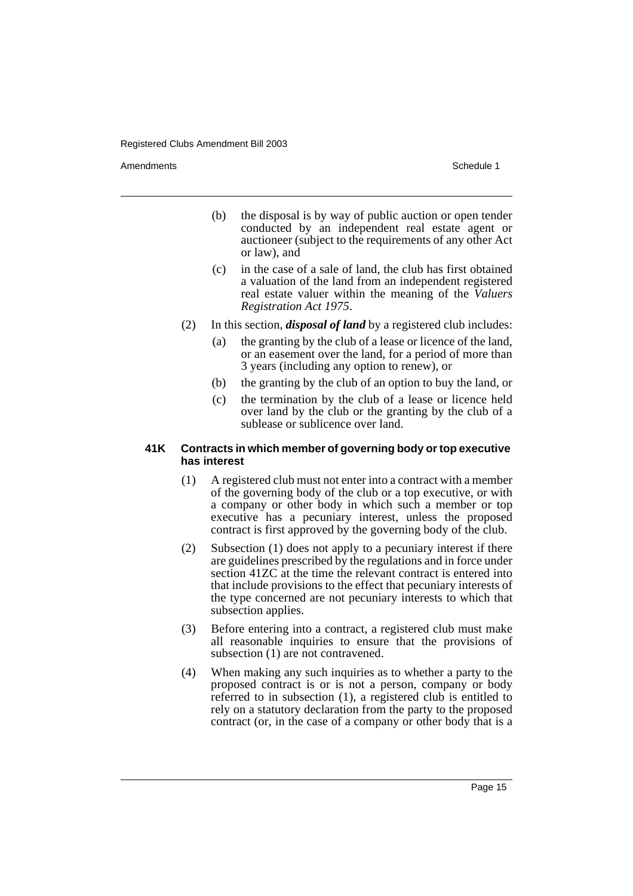Amendments **Amendments** Schedule 1

- (b) the disposal is by way of public auction or open tender conducted by an independent real estate agent or auctioneer (subject to the requirements of any other Act or law), and
- (c) in the case of a sale of land, the club has first obtained a valuation of the land from an independent registered real estate valuer within the meaning of the *Valuers Registration Act 1975*.
- (2) In this section, *disposal of land* by a registered club includes:
	- (a) the granting by the club of a lease or licence of the land, or an easement over the land, for a period of more than 3 years (including any option to renew), or
	- (b) the granting by the club of an option to buy the land, or
	- (c) the termination by the club of a lease or licence held over land by the club or the granting by the club of a sublease or sublicence over land.

#### **41K Contracts in which member of governing body or top executive has interest**

- (1) A registered club must not enter into a contract with a member of the governing body of the club or a top executive, or with a company or other body in which such a member or top executive has a pecuniary interest, unless the proposed contract is first approved by the governing body of the club.
- (2) Subsection (1) does not apply to a pecuniary interest if there are guidelines prescribed by the regulations and in force under section 41ZC at the time the relevant contract is entered into that include provisions to the effect that pecuniary interests of the type concerned are not pecuniary interests to which that subsection applies.
- (3) Before entering into a contract, a registered club must make all reasonable inquiries to ensure that the provisions of subsection  $(1)$  are not contravened.
- (4) When making any such inquiries as to whether a party to the proposed contract is or is not a person, company or body referred to in subsection (1), a registered club is entitled to rely on a statutory declaration from the party to the proposed contract (or, in the case of a company or other body that is a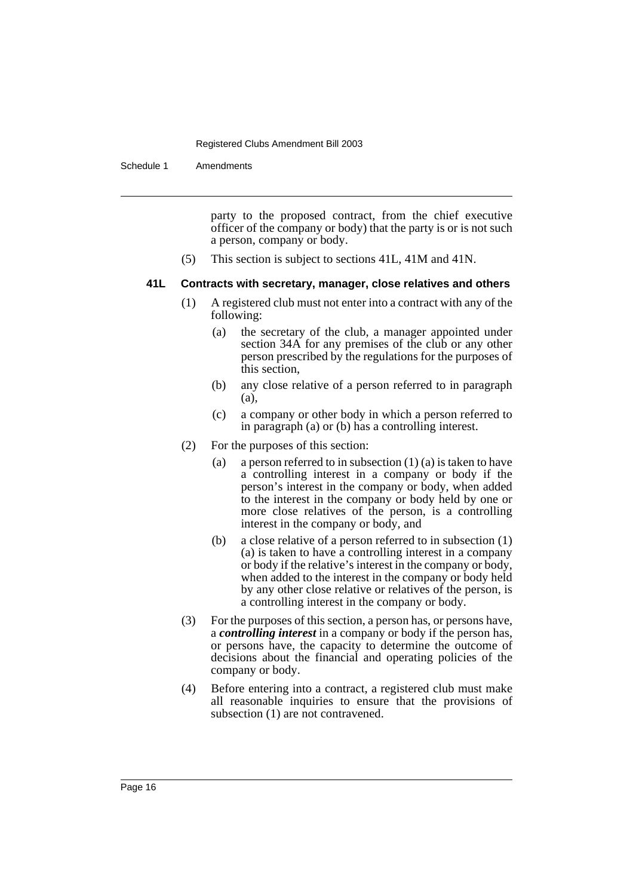Schedule 1 Amendments

party to the proposed contract, from the chief executive officer of the company or body) that the party is or is not such a person, company or body.

(5) This section is subject to sections 41L, 41M and 41N.

## **41L Contracts with secretary, manager, close relatives and others**

- (1) A registered club must not enter into a contract with any of the following:
	- (a) the secretary of the club, a manager appointed under section 34A for any premises of the club or any other person prescribed by the regulations for the purposes of this section,
	- (b) any close relative of a person referred to in paragraph (a),
	- (c) a company or other body in which a person referred to in paragraph (a) or (b) has a controlling interest.
- (2) For the purposes of this section:
	- (a) a person referred to in subsection  $(1)$  (a) is taken to have a controlling interest in a company or body if the person's interest in the company or body, when added to the interest in the company or body held by one or more close relatives of the person, is a controlling interest in the company or body, and
	- (b) a close relative of a person referred to in subsection (1) (a) is taken to have a controlling interest in a company or body if the relative's interest in the company or body, when added to the interest in the company or body held by any other close relative or relatives of the person, is a controlling interest in the company or body.
- (3) For the purposes of this section, a person has, or persons have, a *controlling interest* in a company or body if the person has, or persons have, the capacity to determine the outcome of decisions about the financial and operating policies of the company or body.
- (4) Before entering into a contract, a registered club must make all reasonable inquiries to ensure that the provisions of subsection (1) are not contravened.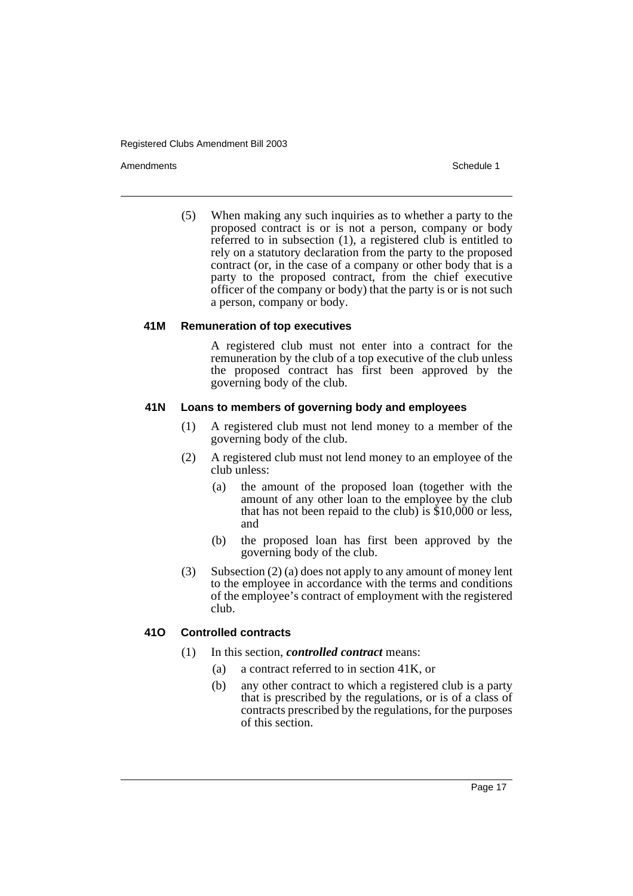Amendments **Amendments** Schedule 1

(5) When making any such inquiries as to whether a party to the proposed contract is or is not a person, company or body referred to in subsection (1), a registered club is entitled to rely on a statutory declaration from the party to the proposed contract (or, in the case of a company or other body that is a party to the proposed contract, from the chief executive officer of the company or body) that the party is or is not such a person, company or body.

#### **41M Remuneration of top executives**

A registered club must not enter into a contract for the remuneration by the club of a top executive of the club unless the proposed contract has first been approved by the governing body of the club.

#### **41N Loans to members of governing body and employees**

- (1) A registered club must not lend money to a member of the governing body of the club.
- (2) A registered club must not lend money to an employee of the club unless:
	- (a) the amount of the proposed loan (together with the amount of any other loan to the employee by the club that has not been repaid to the club) is  $$10,000$  or less, and
	- (b) the proposed loan has first been approved by the governing body of the club.
- (3) Subsection (2) (a) does not apply to any amount of money lent to the employee in accordance with the terms and conditions of the employee's contract of employment with the registered club.

## **41O Controlled contracts**

- (1) In this section, *controlled contract* means:
	- (a) a contract referred to in section 41K, or
	- (b) any other contract to which a registered club is a party that is prescribed by the regulations, or is of a class of contracts prescribed by the regulations, for the purposes of this section.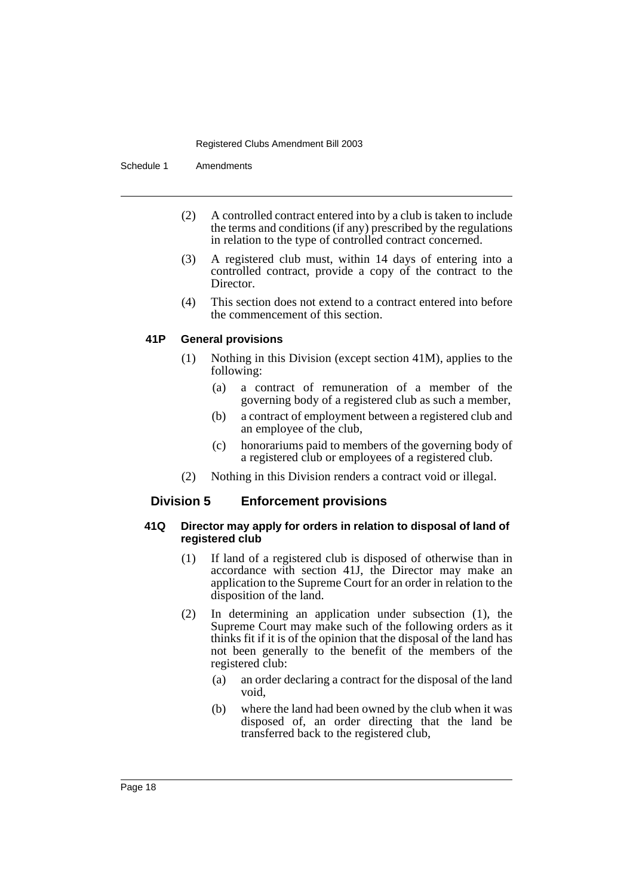Schedule 1 Amendments

- (2) A controlled contract entered into by a club is taken to include the terms and conditions (if any) prescribed by the regulations in relation to the type of controlled contract concerned.
- (3) A registered club must, within 14 days of entering into a controlled contract, provide a copy of the contract to the Director.
- (4) This section does not extend to a contract entered into before the commencement of this section.

## **41P General provisions**

- (1) Nothing in this Division (except section 41M), applies to the following:
	- (a) a contract of remuneration of a member of the governing body of a registered club as such a member,
	- (b) a contract of employment between a registered club and an employee of the club,
	- (c) honorariums paid to members of the governing body of a registered club or employees of a registered club.
- (2) Nothing in this Division renders a contract void or illegal.

## **Division 5 Enforcement provisions**

#### **41Q Director may apply for orders in relation to disposal of land of registered club**

- (1) If land of a registered club is disposed of otherwise than in accordance with section 41J, the Director may make an application to the Supreme Court for an order in relation to the disposition of the land.
- (2) In determining an application under subsection (1), the Supreme Court may make such of the following orders as it thinks fit if it is of the opinion that the disposal of the land has not been generally to the benefit of the members of the registered club:
	- (a) an order declaring a contract for the disposal of the land void,
	- (b) where the land had been owned by the club when it was disposed of, an order directing that the land be transferred back to the registered club,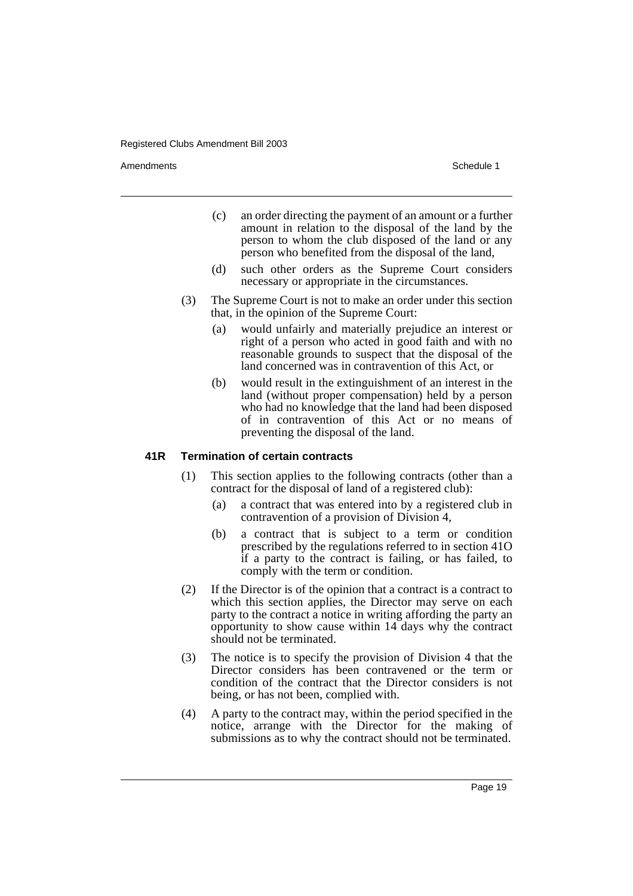Amendments **Amendments** Schedule 1

- (c) an order directing the payment of an amount or a further amount in relation to the disposal of the land by the person to whom the club disposed of the land or any person who benefited from the disposal of the land,
- (d) such other orders as the Supreme Court considers necessary or appropriate in the circumstances.
- (3) The Supreme Court is not to make an order under this section that, in the opinion of the Supreme Court:
	- (a) would unfairly and materially prejudice an interest or right of a person who acted in good faith and with no reasonable grounds to suspect that the disposal of the land concerned was in contravention of this Act, or
	- (b) would result in the extinguishment of an interest in the land (without proper compensation) held by a person who had no knowledge that the land had been disposed of in contravention of this Act or no means of preventing the disposal of the land.

#### **41R Termination of certain contracts**

- (1) This section applies to the following contracts (other than a contract for the disposal of land of a registered club):
	- (a) a contract that was entered into by a registered club in contravention of a provision of Division 4,
	- (b) a contract that is subject to a term or condition prescribed by the regulations referred to in section 41O if a party to the contract is failing, or has failed, to comply with the term or condition.
- (2) If the Director is of the opinion that a contract is a contract to which this section applies, the Director may serve on each party to the contract a notice in writing affording the party an opportunity to show cause within 14 days why the contract should not be terminated.
- (3) The notice is to specify the provision of Division 4 that the Director considers has been contravened or the term or condition of the contract that the Director considers is not being, or has not been, complied with.
- (4) A party to the contract may, within the period specified in the notice, arrange with the Director for the making of submissions as to why the contract should not be terminated.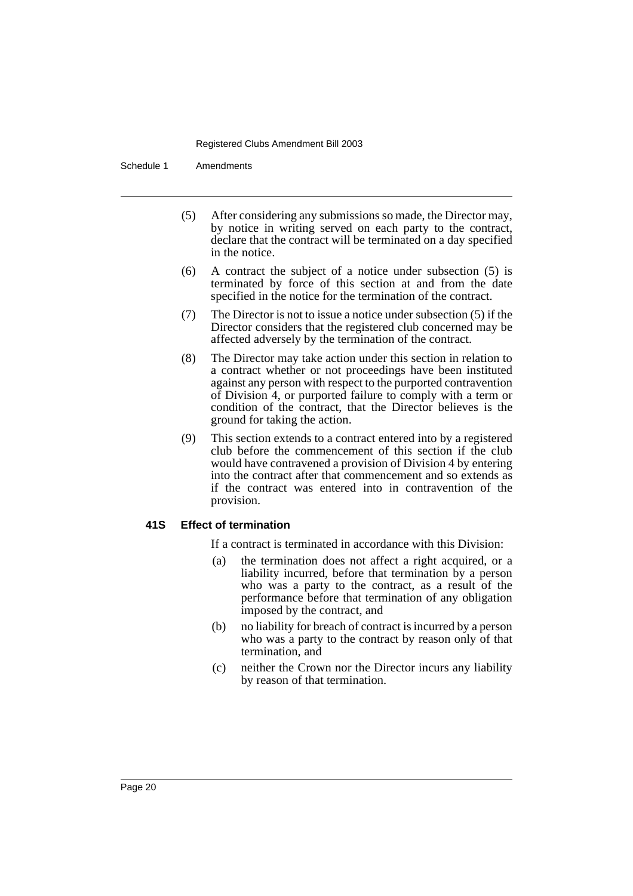Schedule 1 Amendments

- (5) After considering any submissions so made, the Director may, by notice in writing served on each party to the contract, declare that the contract will be terminated on a day specified in the notice.
- (6) A contract the subject of a notice under subsection (5) is terminated by force of this section at and from the date specified in the notice for the termination of the contract.
- (7) The Director is not to issue a notice under subsection (5) if the Director considers that the registered club concerned may be affected adversely by the termination of the contract.
- (8) The Director may take action under this section in relation to a contract whether or not proceedings have been instituted against any person with respect to the purported contravention of Division 4, or purported failure to comply with a term or condition of the contract, that the Director believes is the ground for taking the action.
- (9) This section extends to a contract entered into by a registered club before the commencement of this section if the club would have contravened a provision of Division 4 by entering into the contract after that commencement and so extends as if the contract was entered into in contravention of the provision.

#### **41S Effect of termination**

If a contract is terminated in accordance with this Division:

- (a) the termination does not affect a right acquired, or a liability incurred, before that termination by a person who was a party to the contract, as a result of the performance before that termination of any obligation imposed by the contract, and
- (b) no liability for breach of contract is incurred by a person who was a party to the contract by reason only of that termination, and
- (c) neither the Crown nor the Director incurs any liability by reason of that termination.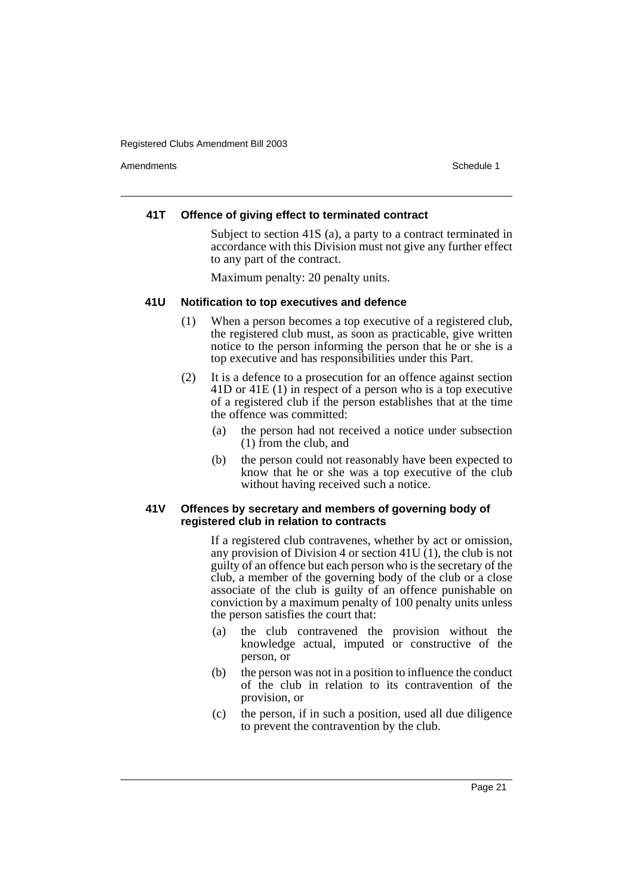Amendments **Amendments** Schedule 1

## **41T Offence of giving effect to terminated contract**

Subject to section 41S (a), a party to a contract terminated in accordance with this Division must not give any further effect to any part of the contract.

Maximum penalty: 20 penalty units.

#### **41U Notification to top executives and defence**

- (1) When a person becomes a top executive of a registered club, the registered club must, as soon as practicable, give written notice to the person informing the person that he or she is a top executive and has responsibilities under this Part.
- (2) It is a defence to a prosecution for an offence against section 41D or 41E (1) in respect of a person who is a top executive of a registered club if the person establishes that at the time the offence was committed:
	- (a) the person had not received a notice under subsection (1) from the club, and
	- (b) the person could not reasonably have been expected to know that he or she was a top executive of the club without having received such a notice.

#### **41V Offences by secretary and members of governing body of registered club in relation to contracts**

If a registered club contravenes, whether by act or omission, any provision of Division 4 or section 41U (1), the club is not guilty of an offence but each person who is the secretary of the club, a member of the governing body of the club or a close associate of the club is guilty of an offence punishable on conviction by a maximum penalty of 100 penalty units unless the person satisfies the court that:

- (a) the club contravened the provision without the knowledge actual, imputed or constructive of the person, or
- (b) the person was not in a position to influence the conduct of the club in relation to its contravention of the provision, or
- (c) the person, if in such a position, used all due diligence to prevent the contravention by the club.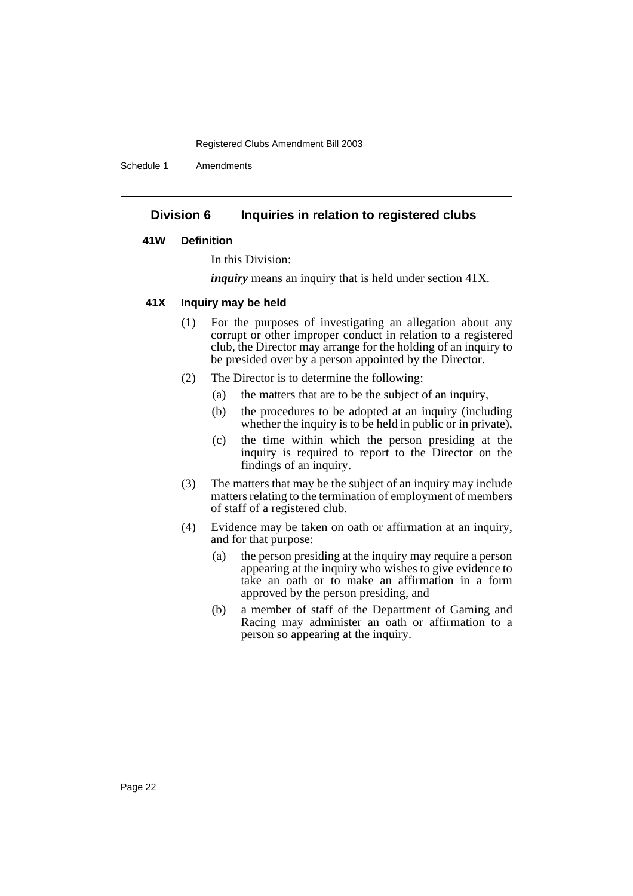Schedule 1 Amendments

## **Division 6 Inquiries in relation to registered clubs**

#### **41W Definition**

In this Division:

*inquiry* means an inquiry that is held under section 41X.

#### **41X Inquiry may be held**

- (1) For the purposes of investigating an allegation about any corrupt or other improper conduct in relation to a registered club, the Director may arrange for the holding of an inquiry to be presided over by a person appointed by the Director.
- (2) The Director is to determine the following:
	- (a) the matters that are to be the subject of an inquiry,
	- (b) the procedures to be adopted at an inquiry (including whether the inquiry is to be held in public or in private),
	- (c) the time within which the person presiding at the inquiry is required to report to the Director on the findings of an inquiry.
- (3) The matters that may be the subject of an inquiry may include matters relating to the termination of employment of members of staff of a registered club.
- (4) Evidence may be taken on oath or affirmation at an inquiry, and for that purpose:
	- (a) the person presiding at the inquiry may require a person appearing at the inquiry who wishes to give evidence to take an oath or to make an affirmation in a form approved by the person presiding, and
	- (b) a member of staff of the Department of Gaming and Racing may administer an oath or affirmation to a person so appearing at the inquiry.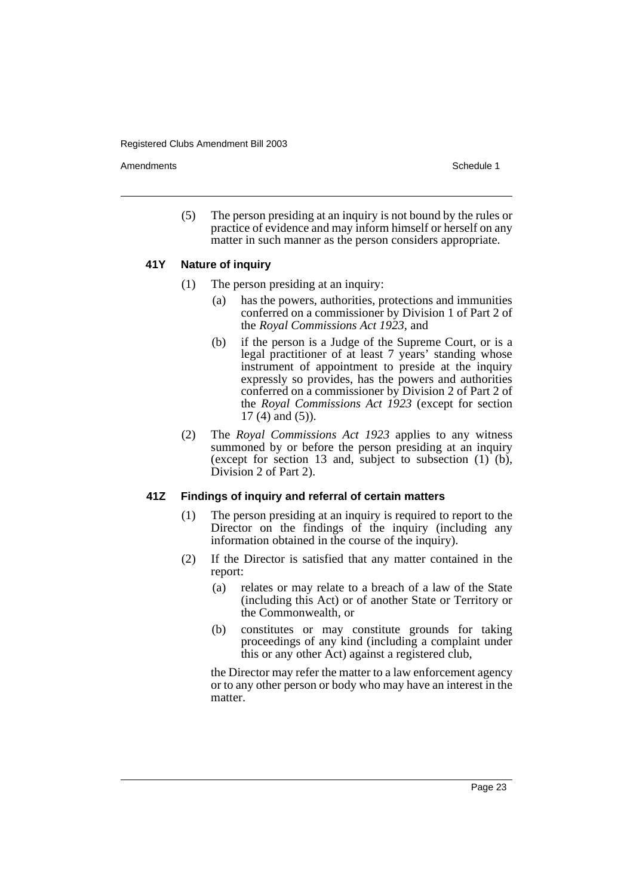Amendments **Amendments** Schedule 1

(5) The person presiding at an inquiry is not bound by the rules or practice of evidence and may inform himself or herself on any matter in such manner as the person considers appropriate.

#### **41Y Nature of inquiry**

- (1) The person presiding at an inquiry:
	- (a) has the powers, authorities, protections and immunities conferred on a commissioner by Division 1 of Part 2 of the *Royal Commissions Act 1923*, and
	- (b) if the person is a Judge of the Supreme Court, or is a legal practitioner of at least 7 years' standing whose instrument of appointment to preside at the inquiry expressly so provides, has the powers and authorities conferred on a commissioner by Division 2 of Part 2 of the *Royal Commissions Act 1923* (except for section 17 (4) and (5)).
- (2) The *Royal Commissions Act 1923* applies to any witness summoned by or before the person presiding at an inquiry (except for section 13 and, subject to subsection  $(1)$  (b), Division 2 of Part 2).

## **41Z Findings of inquiry and referral of certain matters**

- (1) The person presiding at an inquiry is required to report to the Director on the findings of the inquiry (including any information obtained in the course of the inquiry).
- (2) If the Director is satisfied that any matter contained in the report:
	- (a) relates or may relate to a breach of a law of the State (including this Act) or of another State or Territory or the Commonwealth, or
	- (b) constitutes or may constitute grounds for taking proceedings of any kind (including a complaint under this or any other Act) against a registered club,

the Director may refer the matter to a law enforcement agency or to any other person or body who may have an interest in the matter.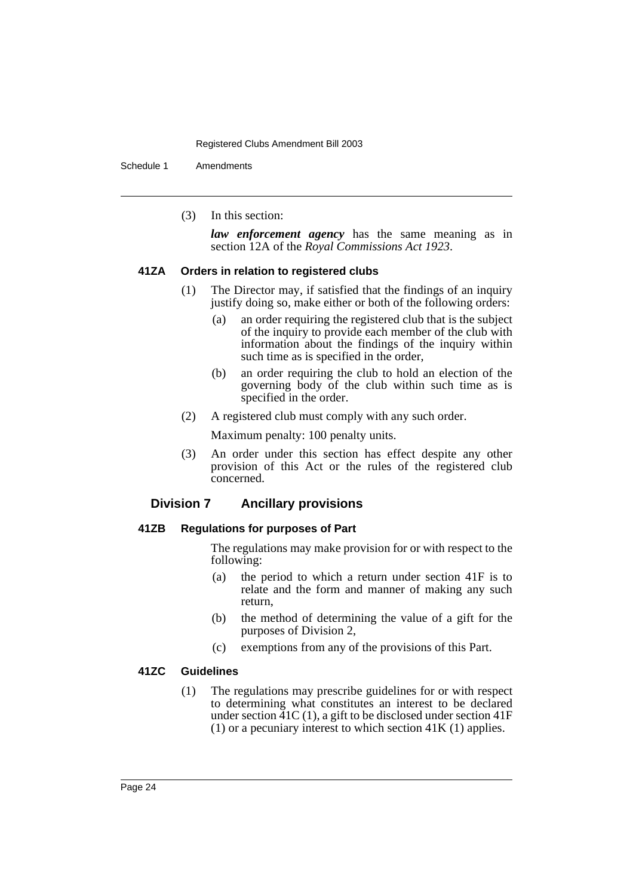Schedule 1 Amendments

(3) In this section:

*law enforcement agency* has the same meaning as in section 12A of the *Royal Commissions Act 1923*.

#### **41ZA Orders in relation to registered clubs**

- (1) The Director may, if satisfied that the findings of an inquiry justify doing so, make either or both of the following orders:
	- (a) an order requiring the registered club that is the subject of the inquiry to provide each member of the club with information about the findings of the inquiry within such time as is specified in the order,
	- (b) an order requiring the club to hold an election of the governing body of the club within such time as is specified in the order.
- (2) A registered club must comply with any such order.

Maximum penalty: 100 penalty units.

(3) An order under this section has effect despite any other provision of this Act or the rules of the registered club concerned.

# **Division 7 Ancillary provisions**

## **41ZB Regulations for purposes of Part**

The regulations may make provision for or with respect to the following:

- (a) the period to which a return under section 41F is to relate and the form and manner of making any such return,
- (b) the method of determining the value of a gift for the purposes of Division 2,
- (c) exemptions from any of the provisions of this Part.

## **41ZC Guidelines**

(1) The regulations may prescribe guidelines for or with respect to determining what constitutes an interest to be declared under section  $\overline{41C(1)}$ , a gift to be disclosed under section  $41F$ (1) or a pecuniary interest to which section  $41K(1)$  applies.